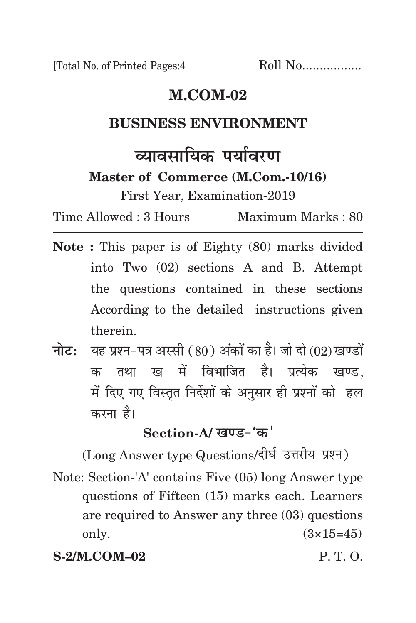[Total No. of Printed Pages:4 Roll No.................

# **m.com-02**

## **business environment**

# <u>व्यावमायिक पर्यावरण</u>

**Master of Commerce (M.Com.-10/16)**

First Year, Examination-2019

Time Allowed : 3 Hours Maximum Marks : 80

- **Note :** This paper is of Eighty (80) marks divided into Two (02) sections A and B. Attempt the questions contained in these sections According to the detailed instructions given therein.
- **नोट:** यह प्रश्न-पत्र अस्सी (80) अंकों का है। जो दो (02) खण्डों क तथा ख में विभाजित है। प्रत्येक खण्ड, में दिए गए विस्तृत निर्देशों के अनुसार ही प्रश्नों को हल करना है।

# Section-A/ *खणड-'ळ'*

(Long Answer type Questions/दीर्घ उत्तरीय प्रश्न) Note: Section-'A' contains Five (05) long Answer type questions of Fifteen (15) marks each. Learners are required to Answer any three (03) questions only.  $(3 \times 15 = 45)$ 

**S-2/M.COM–02** P. T. O.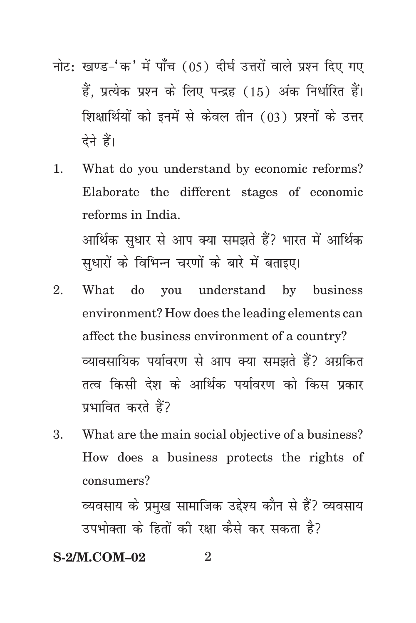- नोट: खण्ड-'क' में पाँच (05) दीर्घ उत्तरों वाले प्रश्न दिए गए हैं. प्रत्येक प्रश्न के लिए पन्द्रह (15) अंक निर्धारित हैं। शिक्षार्थियों को इनमें से केवल तीन (03) प्रश्नों के उत्तर देने हैं।
- 1. What do you understand by economic reforms? Elaborate the different stages of economic reforms in India. आर्थिक सुधार से आप क्या समझते हैं? भारत में आर्थिक सधारों के विभिन्न चरणों के बारे में बताइए।
- 2. What do you understand by business environment? How does the leading elements can affect the business environment of a country? व्यावसायिक पर्यावरण से आप क्या समझते हैं? अग्रकित तत्व किसी देश के आर्थिक पर्यावरण को किस प्रकार प्रभावित करते हैं?
- 3. What are the main social objective of a business? How does a business protects the rights of consumers?

व्यवसाय के प्रमुख सामाजिक उद्देश्य कौन से हैं? व्यवसाय उपभोक्ता के हितों की रक्षा कैसे कर सकता है?

### **S-2/M.COM–02** 2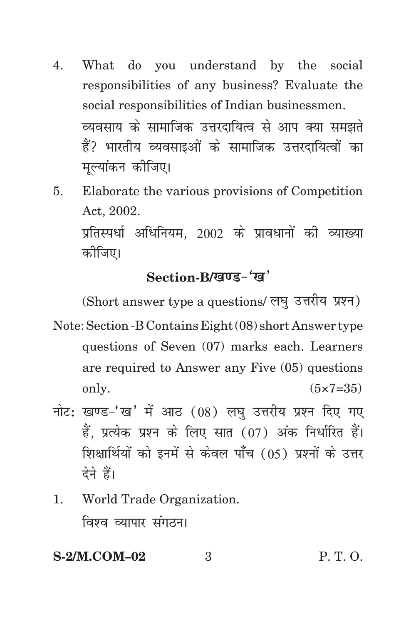- 4. What do you understand by the social responsibilities of any business? Evaluate the social responsibilities of Indian businessmen. व्यवसाय के सामाजिक उत्तरदायित्व से आप क्या समझते हैं? भारतीय व्यवसाइओं के सामाजिक उत्तरदायित्वों का मुल्यांकन कीजिए।
- 5. Elaborate the various provisions of Competition Act, 2002. प्रतिस्पर्धा अधिनियम. 2002 के प्रावधानों की व्याख्या कोजिए।

# Section-B/*<i>R*  $\overline{R}$  (*xa*<sup> $\prime$ </sup>

(Short answer type a questions/ लघु उत्तरीय प्रश्न)

- Note: Section -B Contains Eight (08) short Answer type questions of Seven (07) marks each. Learners are required to Answer any Five (05) questions only.  $(5 \times 7 = 35)$
- नोट: खण्ड-'ख' में आठ  $(08)$  लघु उत्तरीय प्रश्न दिए गए हैं. प्रत्येक प्रश्न के लिए सात (07) अंक निर्धारित हैं। शिक्षार्थियों को इनमें से केवल पाँच (05) प्रश्नों के उत्तर देने हैं।
- 1. World Trade Organization. विश्व व्यापार संगठन।

#### **S-2/M.COM–02** 3 P. T. O.